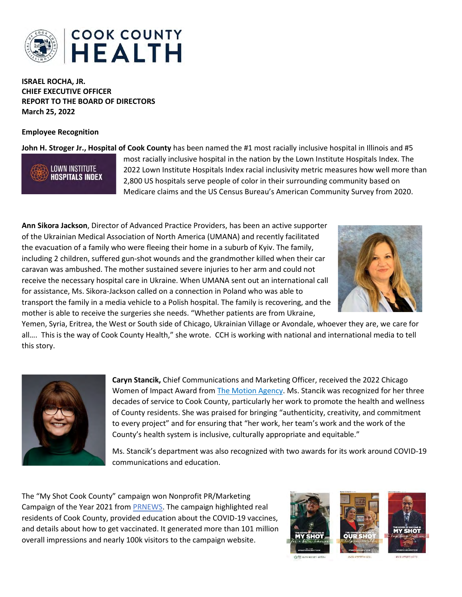

**ISRAEL ROCHA, JR. CHIEF EXECUTIVE OFFICER REPORT TO THE BOARD OF DIRECTORS March 25, 2022**

## **Employee Recognition**

**John H. Stroger Jr., Hospital of Cook County** has been named the #1 most racially inclusive hospital in Illinois and #5



most racially inclusive hospital in the nation by the Lown Institute Hospitals Index. The 2022 Lown Institute Hospitals Index racial inclusivity metric measures how well more than 2,800 US hospitals serve people of color in their surrounding community based on Medicare claims and the US Census Bureau's American Community Survey from 2020.

**Ann Sikora Jackson**, Director of Advanced Practice Providers, has been an active supporter of the Ukrainian Medical Association of North America (UMANA) and recently facilitated the evacuation of a family who were fleeing their home in a suburb of Kyiv. The family, including 2 children, suffered gun-shot wounds and the grandmother killed when their car caravan was ambushed. The mother sustained severe injuries to her arm and could not receive the necessary hospital care in Ukraine. When UMANA sent out an international call for assistance, Ms. Sikora-Jackson called on a connection in Poland who was able to transport the family in a media vehicle to a Polish hospital. The family is recovering, and the mother is able to receive the surgeries she needs. "Whether patients are from Ukraine,



Yemen, Syria, Eritrea, the West or South side of Chicago, Ukrainian Village or Avondale, whoever they are, we care for all…. This is the way of Cook County Health," she wrote. CCH is working with national and international media to tell this story.



**Caryn Stancik,** Chief Communications and Marketing Officer, received the 2022 Chicago Women of Impact Award from [The Motion Agency.](https://agencyinmotion.com/iwd-2022/) Ms. Stancik was recognized for her three decades of service to Cook County, particularly her work to promote the health and wellness of County residents. She was praised for bringing "authenticity, creativity, and commitment to every project" and for ensuring that "her work, her team's work and the work of the County's health system is inclusive, culturally appropriate and equitable."

Ms. Stancik's department was also recognized with two awards for its work around COVID-19 communications and education.

The "My Shot Cook County" campaign won Nonprofit PR/Marketing Campaign of the Year 2021 from [PRNEWS.](https://www.prnewsonline.com/go/nonprofit-awards-2021/) The campaign highlighted real residents of Cook County, provided education about the COVID-19 vaccines, and details about how to get vaccinated. It generated more than 101 million overall impressions and nearly 100k visitors to the campaign website.

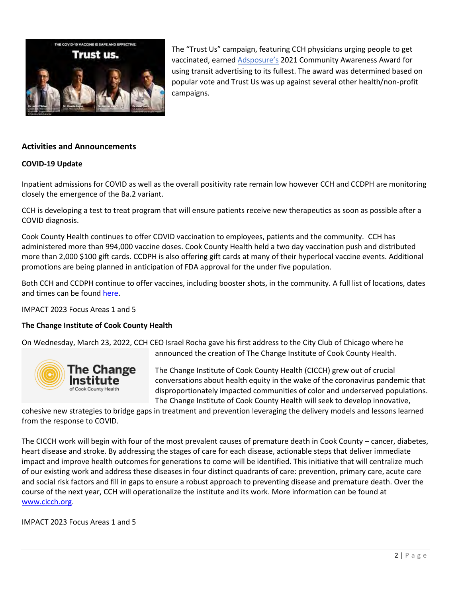

The "Trust Us" campaign, featuring CCH physicians urging people to get vaccinated, earned [Adsposure's](https://www.adsposure.com/congratulations-transit-awards-winners/) 2021 Community Awareness Award for using transit advertising to its fullest. The award was determined based on popular vote and Trust Us was up against several other health/non-profit campaigns.

## **Activities and Announcements**

### **COVID-19 Update**

Inpatient admissions for COVID as well as the overall positivity rate remain low however CCH and CCDPH are monitoring closely the emergence of the Ba.2 variant.

CCH is developing a test to treat program that will ensure patients receive new therapeutics as soon as possible after a COVID diagnosis.

Cook County Health continues to offer COVID vaccination to employees, patients and the community. CCH has administered more than 994,000 vaccine doses. Cook County Health held a two day vaccination push and distributed more than 2,000 \$100 gift cards. CCDPH is also offering gift cards at many of their hyperlocal vaccine events. Additional promotions are being planned in anticipation of FDA approval for the under five population.

Both CCH and CCDPH continue to offer vaccines, including booster shots, in the community. A full list of locations, dates and times can be found [here.](https://myshotcookcounty.com/locations/)

IMPACT 2023 Focus Areas 1 and 5

## **The Change Institute of Cook County Health**

On Wednesday, March 23, 2022, CCH CEO Israel Rocha gave his first address to the City Club of Chicago where he announced the creation of The Change Institute of Cook County Health.



The Change Institute of Cook County Health (CICCH) grew out of crucial conversations about health equity in the wake of the coronavirus pandemic that disproportionately impacted communities of color and underserved populations. The Change Institute of Cook County Health will seek to develop innovative,

cohesive new strategies to bridge gaps in treatment and prevention leveraging the delivery models and lessons learned from the response to COVID.

The CICCH work will begin with four of the most prevalent causes of premature death in Cook County – cancer, diabetes, heart disease and stroke. By addressing the stages of care for each disease, actionable steps that deliver immediate impact and improve health outcomes for generations to come will be identified. This initiative that will centralize much of our existing work and address these diseases in four distinct quadrants of care: prevention, primary care, acute care and social risk factors and fill in gaps to ensure a robust approach to preventing disease and premature death. Over the course of the next year, CCH will operationalize the institute and its work. More information can be found at [www.cicch.org.](http://www.cicch.org/)

IMPACT 2023 Focus Areas 1 and 5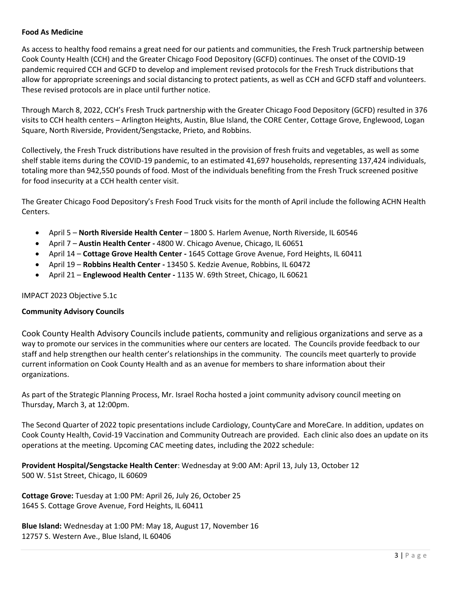## **Food As Medicine**

As access to healthy food remains a great need for our patients and communities, the Fresh Truck partnership between Cook County Health (CCH) and the Greater Chicago Food Depository (GCFD) continues. The onset of the COVID-19 pandemic required CCH and GCFD to develop and implement revised protocols for the Fresh Truck distributions that allow for appropriate screenings and social distancing to protect patients, as well as CCH and GCFD staff and volunteers. These revised protocols are in place until further notice.

Through March 8, 2022, CCH's Fresh Truck partnership with the Greater Chicago Food Depository (GCFD) resulted in 376 visits to CCH health centers – Arlington Heights, Austin, Blue Island, the CORE Center, Cottage Grove, Englewood, Logan Square, North Riverside, Provident/Sengstacke, Prieto, and Robbins.

Collectively, the Fresh Truck distributions have resulted in the provision of fresh fruits and vegetables, as well as some shelf stable items during the COVID-19 pandemic, to an estimated 41,697 households, representing 137,424 individuals, totaling more than 942,550 pounds of food. Most of the individuals benefiting from the Fresh Truck screened positive for food insecurity at a CCH health center visit.

The Greater Chicago Food Depository's Fresh Food Truck visits for the month of April include the following ACHN Health Centers.

- April 5 **North Riverside Health Center** 1800 S. Harlem Avenue, North Riverside, IL 60546
- April 7 **Austin Health Center -** 4800 W. Chicago Avenue, Chicago, IL 60651
- April 14 **Cottage Grove Health Center -** 1645 Cottage Grove Avenue, Ford Heights, IL 60411
- April 19 **Robbins Health Center -** 13450 S. Kedzie Avenue, Robbins, IL 60472
- April 21 **Englewood Health Center -** 1135 W. 69th Street, Chicago, IL 60621

## IMPACT 2023 Objective 5.1c

#### **Community Advisory Councils**

Cook County Health Advisory Councils include patients, community and religious organizations and serve as a way to promote our services in the communities where our centers are located. The Councils provide feedback to our staff and help strengthen our health center's relationships in the community. The councils meet quarterly to provide current information on Cook County Health and as an avenue for members to share information about their organizations.

As part of the Strategic Planning Process, Mr. Israel Rocha hosted a joint community advisory council meeting on Thursday, March 3, at 12:00pm.

The Second Quarter of 2022 topic presentations include Cardiology, CountyCare and MoreCare. In addition, updates on Cook County Health, Covid-19 Vaccination and Community Outreach are provided. Each clinic also does an update on its operations at the meeting. Upcoming CAC meeting dates, including the 2022 schedule:

**Provident Hospital/Sengstacke Health Center**: Wednesday at 9:00 AM: April 13, July 13, October 12 500 W. 51st Street, Chicago, IL 60609

**Cottage Grove:** Tuesday at 1:00 PM: April 26, July 26, October 25 1645 S. Cottage Grove Avenue, Ford Heights, IL 60411

**Blue Island:** Wednesday at 1:00 PM: May 18, August 17, November 16 12757 S. Western Ave., Blue Island, IL 60406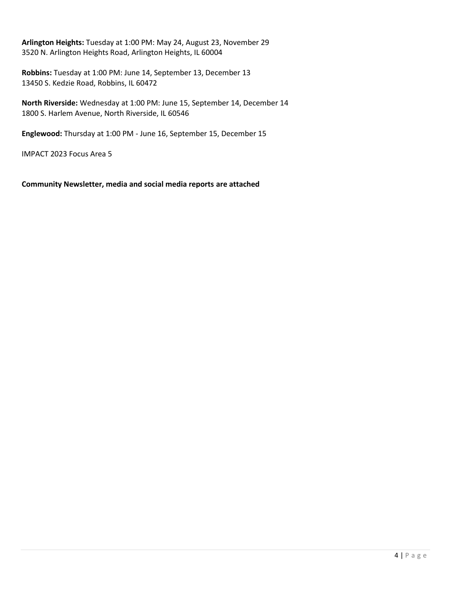**Arlington Heights:** Tuesday at 1:00 PM: May 24, August 23, November 29 3520 N. Arlington Heights Road, Arlington Heights, IL 60004

**Robbins:** Tuesday at 1:00 PM: June 14, September 13, December 13 13450 S. Kedzie Road, Robbins, IL 60472

**North Riverside:** Wednesday at 1:00 PM: June 15, September 14, December 14 1800 S. Harlem Avenue, North Riverside, IL 60546

**Englewood:** Thursday at 1:00 PM - June 16, September 15, December 15

IMPACT 2023 Focus Area 5

**Community Newsletter, media and social media reports are attached**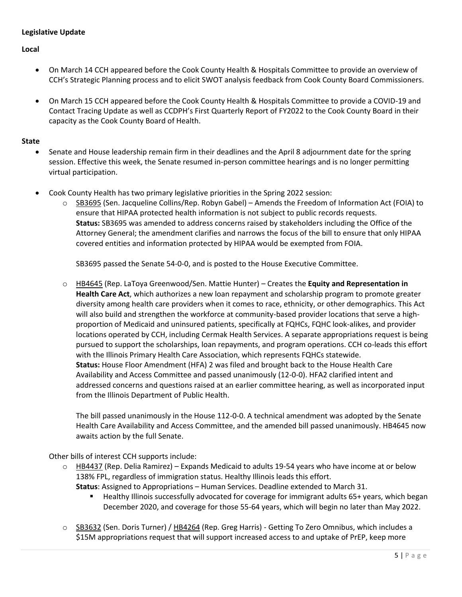## **Legislative Update**

**Local**

- On March 14 CCH appeared before the Cook County Health & Hospitals Committee to provide an overview of CCH's Strategic Planning process and to elicit SWOT analysis feedback from Cook County Board Commissioners.
- On March 15 CCH appeared before the Cook County Health & Hospitals Committee to provide a COVID-19 and Contact Tracing Update as well as CCDPH's First Quarterly Report of FY2022 to the Cook County Board in their capacity as the Cook County Board of Health.

## **State**

- Senate and House leadership remain firm in their deadlines and the April 8 adjournment date for the spring session. Effective this week, the Senate resumed in-person committee hearings and is no longer permitting virtual participation.
- Cook County Health has two primary legislative priorities in the Spring 2022 session:
	- [SB3695](https://nam12.safelinks.protection.outlook.com/?url=https%3A%2F%2Fwww.ilga.gov%2Flegislation%2Fbillstatus.asp%3FDocNum%3D3695%26GAID%3D16%26GA%3D102%26DocTypeID%3DSB%26LegID%3D138704%26SessionID%3D110&data=04%7C01%7Ckchan5%40cookcountyhhs.org%7C2f2efc2270dc46f26ebc08d9f320ae30%7C3b922295e886417faaa84e4c4f069d82%7C0%7C0%7C637808143960458831%7CUnknown%7CTWFpbGZsb3d8eyJWIjoiMC4wLjAwMDAiLCJQIjoiV2luMzIiLCJBTiI6Ik1haWwiLCJXVCI6Mn0%3D%7C3000&sdata=aT%2FFxpzEGGnhN%2F2JCsGbEyQBnUVtCZIehmXqitLjF%2BY%3D&reserved=0) (Sen. Jacqueline Collins/Rep. Robyn Gabel) Amends the Freedom of Information Act (FOIA) to ensure that HIPAA protected health information is not subject to public records requests. **Status:** SB3695 was amended to address concerns raised by stakeholders including the Office of the Attorney General; the amendment clarifies and narrows the focus of the bill to ensure that only HIPAA covered entities and information protected by HIPAA would be exempted from FOIA.

SB3695 passed the Senate 54-0-0, and is posted to the House Executive Committee.

o [HB4645](https://nam12.safelinks.protection.outlook.com/?url=https%3A%2F%2Fwww.ilga.gov%2Flegislation%2FBillStatus.asp%3FDocNum%3D4645%26GAID%3D16%26DocTypeID%3DHB%26LegID%3D138675%26SessionID%3D110%26SpecSess%3D%26Session%3D%26GA%3D102&data=04%7C01%7Ckchan5%40cookcountyhhs.org%7Cc9181f9ad3fd4736042808da091a0260%7C3b922295e886417faaa84e4c4f069d82%7C0%7C0%7C637832304557035541%7CUnknown%7CTWFpbGZsb3d8eyJWIjoiMC4wLjAwMDAiLCJQIjoiV2luMzIiLCJBTiI6Ik1haWwiLCJXVCI6Mn0%3D%7C3000&sdata=ro1lu0C%2Fg4Ll9762RbMwqgPWBUaUpzvq0y50mt2MMVE%3D&reserved=0) (Rep. LaToya Greenwood/Sen. Mattie Hunter) – Creates the **Equity and Representation in Health Care Act**, which authorizes a new loan repayment and scholarship program to promote greater diversity among health care providers when it comes to race, ethnicity, or other demographics. This Act will also build and strengthen the workforce at community-based provider locations that serve a highproportion of Medicaid and uninsured patients, specifically at FQHCs, FQHC look-alikes, and provider locations operated by CCH, including Cermak Health Services. A separate appropriations request is being pursued to support the scholarships, loan repayments, and program operations. CCH co-leads this effort with the Illinois Primary Health Care Association, which represents FQHCs statewide. **Status:** House Floor Amendment (HFA) 2 was filed and brought back to the House Health Care Availability and Access Committee and passed unanimously (12-0-0). HFA2 clarified intent and addressed concerns and questions raised at an earlier committee hearing, as well as incorporated input from the Illinois Department of Public Health.

The bill passed unanimously in the House 112-0-0. A technical amendment was adopted by the Senate Health Care Availability and Access Committee, and the amended bill passed unanimously. HB4645 now awaits action by the full Senate.

Other bills of interest CCH supports include:

 $\circ$  [HB4437](https://nam12.safelinks.protection.outlook.com/?url=https%3A%2F%2Fwww.ilga.gov%2Flegislation%2Fbillstatus.asp%3FDocNum%3D4437%26GAID%3D16%26GA%3D102%26DocTypeID%3DHB%26LegID%3D137793%26SessionID%3D110&data=04%7C01%7Ckchan5%40cookcountyhhs.org%7C2f2efc2270dc46f26ebc08d9f320ae30%7C3b922295e886417faaa84e4c4f069d82%7C0%7C0%7C637808143960615064%7CUnknown%7CTWFpbGZsb3d8eyJWIjoiMC4wLjAwMDAiLCJQIjoiV2luMzIiLCJBTiI6Ik1haWwiLCJXVCI6Mn0%3D%7C3000&sdata=C74tR1D6BO0EXIa%2Bd9%2BP5N%2FBVrG%2FSeBm4eex9JL93o0%3D&reserved=0) (Rep. Delia Ramirez) – Expands Medicaid to adults 19-54 years who have income at or below 138% FPL, regardless of immigration status. Healthy Illinois leads this effort.

**Status**: Assigned to Appropriations – Human Services. Deadline extended to March 31.

- Healthy Illinois successfully advocated for coverage for immigrant adults 65+ years, which began December 2020, and coverage for those 55-64 years, which will begin no later than May 2022.
- o [SB3632](https://nam12.safelinks.protection.outlook.com/?url=https%3A%2F%2Fwww.ilga.gov%2Flegislation%2FBillStatus.asp%3FGA%3D102%26DocTypeID%3DSB%26DocNum%3D3632%26GAID%3D16%26SessionID%3D110%26LegID%3D138619&data=04%7C01%7Ckchan5%40cookcountyhhs.org%7C2f2efc2270dc46f26ebc08d9f320ae30%7C3b922295e886417faaa84e4c4f069d82%7C0%7C0%7C637808143960615064%7CUnknown%7CTWFpbGZsb3d8eyJWIjoiMC4wLjAwMDAiLCJQIjoiV2luMzIiLCJBTiI6Ik1haWwiLCJXVCI6Mn0%3D%7C3000&sdata=i%2FLFg9YdXvpszBoEF2oXtX4lZh66%2BVeTpz9QaUIXtT0%3D&reserved=0) (Sen. Doris Turner) / [HB4264](https://nam12.safelinks.protection.outlook.com/?url=https%3A%2F%2Fwww.ilga.gov%2Flegislation%2Fbillstatus.asp%3FDocNum%3D4264%26GAID%3D16%26GA%3D102%26DocTypeID%3DHB%26LegID%3D137315%26SessionID%3D110&data=04%7C01%7Ckchan5%40cookcountyhhs.org%7C2f2efc2270dc46f26ebc08d9f320ae30%7C3b922295e886417faaa84e4c4f069d82%7C0%7C0%7C637808143960615064%7CUnknown%7CTWFpbGZsb3d8eyJWIjoiMC4wLjAwMDAiLCJQIjoiV2luMzIiLCJBTiI6Ik1haWwiLCJXVCI6Mn0%3D%7C3000&sdata=E%2BX85u5CYsgOrQlXk6AW5%2FZr8IX%2B56QrBg3ndmI6Czo%3D&reserved=0) (Rep. Greg Harris) Getting To Zero Omnibus, which includes a \$15M appropriations request that will support increased access to and uptake of PrEP, keep more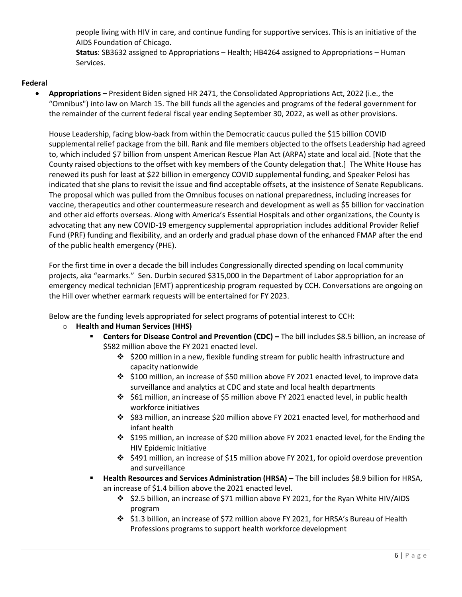people living with HIV in care, and continue funding for supportive services. This is an initiative of the AIDS Foundation of Chicago.

**Status**: SB3632 assigned to Appropriations – Health; HB4264 assigned to Appropriations – Human Services.

## **Federal**

• **Appropriations –** President Biden signed HR 2471, the Consolidated Appropriations Act, 2022 (i.e., the "Omnibus") into law on March 15. The bill funds all the agencies and programs of the federal government for the remainder of the current federal fiscal year ending September 30, 2022, as well as other provisions.

House Leadership, facing blow-back from within the Democratic caucus pulled the \$15 billion COVID supplemental relief package from the bill. Rank and file members objected to the offsets Leadership had agreed to, which included \$7 billion from unspent American Rescue Plan Act (ARPA) state and local aid. [Note that the County raised objections to the offset with key members of the County delegation that.] The White House has renewed its push for least at \$22 billion in emergency COVID supplemental funding, and Speaker Pelosi has indicated that she plans to revisit the issue and find acceptable offsets, at the insistence of Senate Republicans. The proposal which was pulled from the Omnibus focuses on national preparedness, including increases for vaccine, therapeutics and other countermeasure research and development as well as \$5 billion for vaccination and other aid efforts overseas. Along with America's Essential Hospitals and other organizations, the County is advocating that any new COVID-19 emergency supplemental appropriation includes additional Provider Relief Fund (PRF) funding and flexibility, and an orderly and gradual phase down of the enhanced FMAP after the end of the public health emergency (PHE).

For the first time in over a decade the bill includes Congressionally directed spending on local community projects, aka "earmarks." Sen. Durbin secured \$315,000 in the Department of Labor appropriation for an emergency medical technician (EMT) apprenticeship program requested by CCH. Conversations are ongoing on the Hill over whether earmark requests will be entertained for FY 2023.

Below are the funding levels appropriated for select programs of potential interest to CCH:

- o **Health and Human Services (HHS)**
	- **Centers for Disease Control and Prevention (CDC) The bill includes \$8.5 billion, an increase of** \$582 million above the FY 2021 enacted level.
		- ❖ \$200 million in a new, flexible funding stream for public health infrastructure and capacity nationwide
		- ❖ \$100 million, an increase of \$50 million above FY 2021 enacted level, to improve data surveillance and analytics at CDC and state and local health departments
		- ❖ \$61 million, an increase of \$5 million above FY 2021 enacted level, in public health workforce initiatives
		- ❖ \$83 million, an increase \$20 million above FY 2021 enacted level, for motherhood and infant health
		- ❖ \$195 million, an increase of \$20 million above FY 2021 enacted level, for the Ending the HIV Epidemic Initiative
		- $\div$  \$491 million, an increase of \$15 million above FY 2021, for opioid overdose prevention and surveillance
	- **Health Resources and Services Administration (HRSA) –** The bill includes \$8.9 billion for HRSA, an increase of \$1.4 billion above the 2021 enacted level.
		- ❖ \$2.5 billion, an increase of \$71 million above FY 2021, for the Ryan White HIV/AIDS program
		- ❖ \$1.3 billion, an increase of \$72 million above FY 2021, for HRSA's Bureau of Health Professions programs to support health workforce development